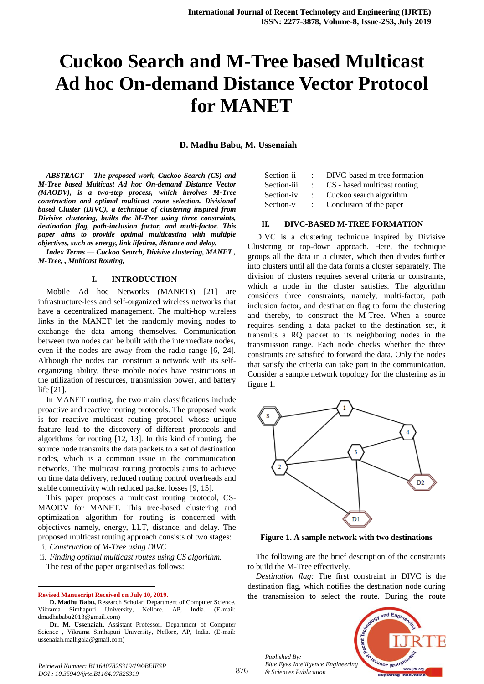# **Cuckoo Search and M-Tree based Multicast Ad hoc On-demand Distance Vector Protocol for MANET**

**D. Madhu Babu, M. Ussenaiah**

*ABSTRACT--- The proposed work, Cuckoo Search (CS) and M-Tree based Multicast Ad hoc On-demand Distance Vector (MAODV), is a two-step process, which involves M-Tree construction and optimal multicast route selection. Divisional based Cluster (DIVC), a technique of clustering inspired from Divisive clustering, builts the M-Tree using three constraints, destination flag, path-inclusion factor, and multi-factor. This paper aims to provide optimal multicasting with multiple objectives, such as energy, link lifetime, distance and delay.*

*Index Terms — Cuckoo Search, Divisive clustering, MANET , M-Tree, , Multicast Routing,* 

## **I. INTRODUCTION**

Mobile Ad hoc Networks (MANETs) [21] are infrastructure-less and self-organized wireless networks that have a decentralized management. The multi-hop wireless links in the MANET let the randomly moving nodes to exchange the data among themselves. Communication between two nodes can be built with the intermediate nodes, even if the nodes are away from the radio range [6, 24]. Although the nodes can construct a network with its selforganizing ability, these mobile nodes have restrictions in the utilization of resources, transmission power, and battery life [21].

In MANET routing, the two main classifications include proactive and reactive routing protocols. The proposed work is for reactive multicast routing protocol whose unique feature lead to the discovery of different protocols and algorithms for routing [12, 13]. In this kind of routing, the source node transmits the data packets to a set of destination nodes, which is a common issue in the communication networks. The multicast routing protocols aims to achieve on time data delivery, reduced routing control overheads and stable connectivity with reduced packet losses [9, 15].

This paper proposes a multicast routing protocol, CS-MAODV for MANET. This tree-based clustering and optimization algorithm for routing is concerned with objectives namely, energy, LLT, distance, and delay. The proposed multicast routing approach consists of two stages:

i. *Construction of M-Tree using DIVC* 

ii. *Finding optimal multicast routes using CS algorithm*. The rest of the paper organised as follows:

**Revised Manuscript Received on July 10, 2019.**

 $\overline{a}$ 

| Section-ii  |        | DIVC-based m-tree formation  |
|-------------|--------|------------------------------|
| Section-iii | $\sim$ | CS - based multicast routing |
| Section-iv  | $\sim$ | Cuckoo search algorithm      |

Section-v : Conclusion of the paper

#### **II. DIVC-BASED M-TREE FORMATION**

DIVC is a clustering technique inspired by Divisive Clustering or top-down approach. Here, the technique groups all the data in a cluster, which then divides further into clusters until all the data forms a cluster separately. The division of clusters requires several criteria or constraints, which a node in the cluster satisfies. The algorithm considers three constraints, namely, multi-factor, path inclusion factor, and destination flag to form the clustering and thereby, to construct the M-Tree. When a source requires sending a data packet to the destination set, it transmits a RQ packet to its neighboring nodes in the transmission range. Each node checks whether the three constraints are satisfied to forward the data. Only the nodes that satisfy the criteria can take part in the communication. Consider a sample network topology for the clustering as in figure 1.



**Figure 1. A sample network with two destinations**

The following are the brief description of the constraints to build the M-Tree effectively.

*Destination flag:* The first constraint in DIVC is the destination flag, which notifies the destination node during the transmission to select the route. During the route



*Retrieval Number: B11640782S319/19©BEIESP DOI : 10.35940/ijrte.B1164.0782S319*

*Published By:*

*& Sciences Publication* 

**D. Madhu Babu,** Research Scholar, Department of Computer Science, Vikrama Simhapuri University, Nellore, AP, India. (E-mail: dmadhubabu2013@gmail.com)

**Dr. M. Ussenaiah,** Assistant Professor, Department of Computer Science , Vikrama Simhapuri University, Nellore, AP, India. (E-mail: ussenaiah.malligala@gmail.com)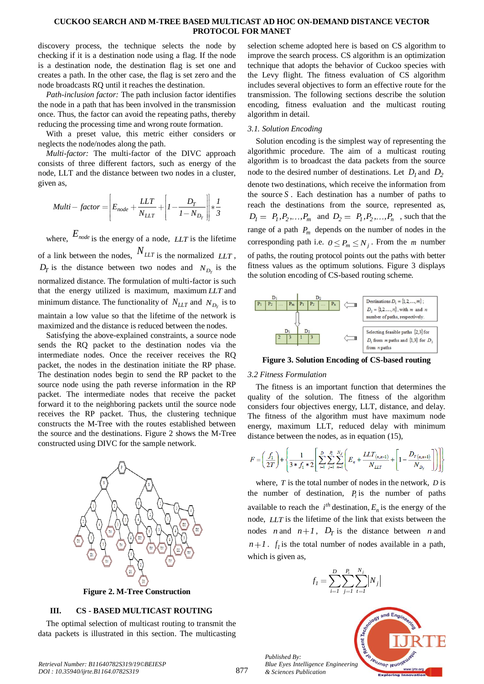## **CUCKOO SEARCH AND M-TREE BASED MULTICAST AD HOC ON-DEMAND DISTANCE VECTOR PROTOCOL FOR MANET**

discovery process, the technique selects the node by checking if it is a destination node using a flag. If the node is a destination node, the destination flag is set one and creates a path. In the other case, the flag is set zero and the node broadcasts RQ until it reaches the destination.

*Path-inclusion factor:* The path inclusion factor identifies the node in a path that has been involved in the transmission once. Thus, the factor can avoid the repeating paths, thereby reducing the processing time and wrong route formation.

With a preset value, this metric either considers or neglects the node/nodes along the path.

*Multi-factor:* The multi-factor of the DIVC approach consists of three different factors, such as energy of the node, LLT and the distance between two nodes in a cluster, given as,

$$
Multi-factor = \left| E_{node} + \frac{LLT}{N_{LLT}} + \left| I - \frac{D_T}{I - N_{D_T}} \right| \right| * \frac{1}{3}
$$

where,  $E_{node}$  is the energy of a node, *LLT* is the lifetime of a link between the nodes, *NLLT* is the normalized *LLT* ,  $D_T$  is the distance between two nodes and  $N_{D_T}$  is the normalized distance. The formulation of multi-factor is such that the energy utilized is maximum, maximum *LLT* and minimum distance. The functionality of  $N_{LLT}$  and  $N_{D_T}$  is to maintain a low value so that the lifetime of the network is maximized and the distance is reduced between the nodes.

Satisfying the above-explained constraints, a source node sends the RQ packet to the destination nodes via the intermediate nodes. Once the receiver receives the RQ packet, the nodes in the destination initiate the RP phase. The destination nodes begin to send the RP packet to the source node using the path reverse information in the RP packet. The intermediate nodes that receive the packet forward it to the neighboring packets until the source node receives the RP packet. Thus, the clustering technique constructs the M-Tree with the routes established between the source and the destinations. Figure 2 shows the M-Tree constructed using DIVC for the sample network.



**Figure 2. M-Tree Construction**

# **III. CS - BASED MULTICAST ROUTING**

The optimal selection of multicast routing to transmit the data packets is illustrated in this section. The multicasting

selection scheme adopted here is based on CS algorithm to improve the search process. CS algorithm is an optimization technique that adopts the behavior of Cuckoo species with the Levy flight. The fitness evaluation of CS algorithm includes several objectives to form an effective route for the transmission. The following sections describe the solution encoding, fitness evaluation and the multicast routing algorithm in detail.

# *3.1. Solution Encoding*

Solution encoding is the simplest way of representing the algorithmic procedure. The aim of a multicast routing algorithm is to broadcast the data packets from the source node to the desired number of destinations. Let  $D_1$  and  $D_2$ denote two destinations, which receive the information from the source  $S$ . Each destination has a number of paths to reach the destinations from the source, represented as,  $D_1 = P_1, P_2, \ldots, P_m$  and  $D_2 = P_1, P_2, \ldots, P_n$ , such that the range of a path *Pm* depends on the number of nodes in the corresponding path i.e.  $0 \le P_m \le N_j$ . From the *m* number of paths, the routing protocol points out the paths with better fitness values as the optimum solutions. Figure 3 displays the solution encoding of CS-based routing scheme.



**Figure 3. Solution Encoding of CS-based routing**

#### *3.2 Fitness Formulation*

The fitness is an important function that determines the quality of the solution. The fitness of the algorithm considers four objectives energy, LLT, distance, and delay. The fitness of the algorithm must have maximum node energy, maximum LLT, reduced delay with minimum distance between the nodes, as in equation (15),

$$
F = \left(\frac{f_1}{2T}\right) + \left\{\frac{1}{3 * f_1 * 2} \left[ \sum_{i=1}^{D} \sum_{j=1}^{R} \sum_{n=1}^{N_j} \left( E_n + \frac{LLT_{(n,n+1)}}{N_{LLT}} + \left[1 - \frac{D_{T(n,n+1)}}{N_{D_T}}\right] \right) \right] \right\}
$$

where, *T* is the total number of nodes in the network, *D* is the number of destination,  $P_i$  is the number of paths available to reach the  $i<sup>th</sup>$  destination,  $E_n$  is the energy of the node, *LLT* is the lifetime of the link that exists between the nodes *n* and  $n+1$ ,  $D_T$  is the distance between *n* and  $n+1$ .  $f_i$  is the total number of nodes available in a path, which is given as,





*Published By: Blue Eyes Intelligence Engineering & Sciences Publication*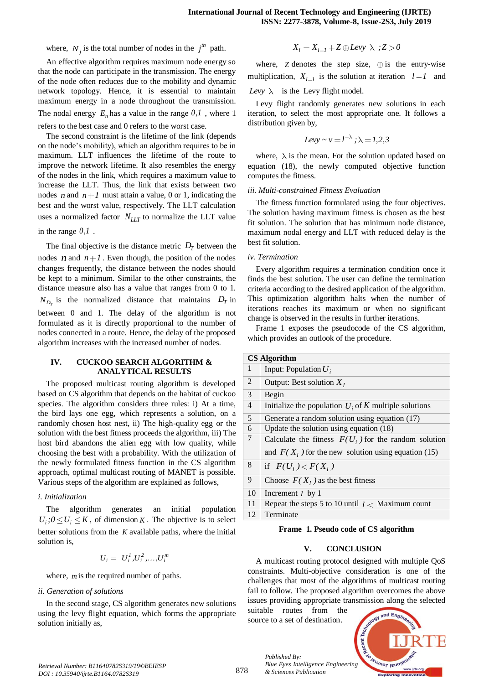where,  $N_j$  is the total number of nodes in the  $j^{th}$  path.

An effective algorithm requires maximum node energy so that the node can participate in the transmission. The energy of the node often reduces due to the mobility and dynamic network topology. Hence, it is essential to maintain maximum energy in a node throughout the transmission. The nodal energy  $E_n$  has a value in the range  $0,1$ , where 1 refers to the best case and 0 refers to the worst case.

The second constraint is the lifetime of the link (depends on the node's mobility), which an algorithm requires to be in maximum. LLT influences the lifetime of the route to improve the network lifetime. It also resembles the energy of the nodes in the link, which requires a maximum value to increase the LLT. Thus, the link that exists between two nodes *n* and  $n+1$  must attain a value, 0 or 1, indicating the best and the worst value, respectively. The LLT calculation uses a normalized factor *NLLT* to normalize the LLT value

in the range *0,1* .

The final objective is the distance metric  $D_T$  between the nodes *n* and  $n+1$ . Even though, the position of the nodes changes frequently, the distance between the nodes should be kept to a minimum. Similar to the other constraints, the distance measure also has a value that ranges from 0 to 1.  $N_{D_T}$  is the normalized distance that maintains  $D_T$  in between 0 and 1. The delay of the algorithm is not formulated as it is directly proportional to the number of nodes connected in a route. Hence, the delay of the proposed algorithm increases with the increased number of nodes.

## **IV. CUCKOO SEARCH ALGORITHM & ANALYTICAL RESULTS**

The proposed multicast routing algorithm is developed based on CS algorithm that depends on the habitat of cuckoo species. The algorithm considers three rules: i) At a time, the bird lays one egg, which represents a solution, on a randomly chosen host nest, ii) The high-quality egg or the solution with the best fitness proceeds the algorithm, iii) The host bird abandons the alien egg with low quality, while choosing the best with a probability. With the utilization of the newly formulated fitness function in the CS algorithm approach, optimal multicast routing of MANET is possible. Various steps of the algorithm are explained as follows,

# *i. Initialization*

The algorithm generates an initial population  $U_i$ ;  $0 \leq U_i \leq K$ , of dimension K. The objective is to select better solutions from the *K* available paths, where the initial solution is,

$$
U_i = U_i^1, U_i^2, \ldots, U_i^m
$$

where,  $m$  is the required number of paths.

#### *ii. Generation of solutions*

In the second stage, CS algorithm generates new solutions using the levy flight equation, which forms the appropriate solution initially as,

$$
X_l = X_{l-l} + Z \oplus Levy \ \lambda \ ; Z > 0
$$

where,  $Z$  denotes the step size,  $\oplus$  is the entry-wise multiplication,  $X_{l-1}$  is the solution at iteration  $l-1$  and Levy  $\lambda$  is the Levy flight model.

Levy flight randomly generates new solutions in each iteration, to select the most appropriate one. It follows a distribution given by,

$$
Levy \sim v = l^{-\lambda}; \lambda = 1, 2, 3
$$

where,  $\lambda$  is the mean. For the solution updated based on equation (18), the newly computed objective function computes the fitness.

## *iii. Multi-constrained Fitness Evaluation*

The fitness function formulated using the four objectives. The solution having maximum fitness is chosen as the best fit solution. The solution that has minimum node distance, maximum nodal energy and LLT with reduced delay is the best fit solution.

## *iv. Termination*

Every algorithm requires a termination condition once it finds the best solution. The user can define the termination criteria according to the desired application of the algorithm. This optimization algorithm halts when the number of iterations reaches its maximum or when no significant change is observed in the results in further iterations.

Frame 1 exposes the pseudocode of the CS algorithm, which provides an outlook of the procedure.

| <b>CS Algorithm</b> |                                                                                                                 |  |
|---------------------|-----------------------------------------------------------------------------------------------------------------|--|
| 1                   | Input: Population $U_i$                                                                                         |  |
| 2                   | Output: Best solution $X_i$                                                                                     |  |
| 3                   | Begin                                                                                                           |  |
| $\overline{4}$      | Initialize the population $U_i$ of K multiple solutions                                                         |  |
| 5                   | Generate a random solution using equation (17)                                                                  |  |
| 6                   | Update the solution using equation $(18)$                                                                       |  |
| 7                   | Calculate the fitness $F(U_i)$ for the random solution<br>and $F(X_1)$ for the new solution using equation (15) |  |
|                     |                                                                                                                 |  |
| 8                   | if $F(U_i) < F(X_i)$                                                                                            |  |
| 9                   | Choose $F(X_1)$ as the best fitness                                                                             |  |
| 10                  | Increment $l$ by 1                                                                                              |  |
| 11                  | Repeat the steps 5 to 10 until $l <$ Maximum count                                                              |  |
| 12                  | Terminate                                                                                                       |  |

#### **Frame 1. Pseudo code of CS algorithm**

# **V. CONCLUSION**

A multicast routing protocol designed with multiple QoS constraints. Multi-objective consideration is one of the challenges that most of the algorithms of multicast routing fail to follow. The proposed algorithm overcomes the above issues providing appropriate transmission along the selected

suitable routes from the source to a set of destination.

*& Sciences Publication* 

*Published By:*